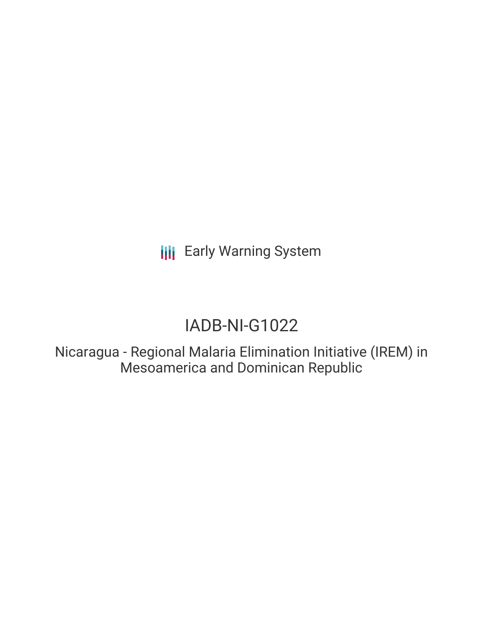**III** Early Warning System

# IADB-NI-G1022

Nicaragua - Regional Malaria Elimination Initiative (IREM) in Mesoamerica and Dominican Republic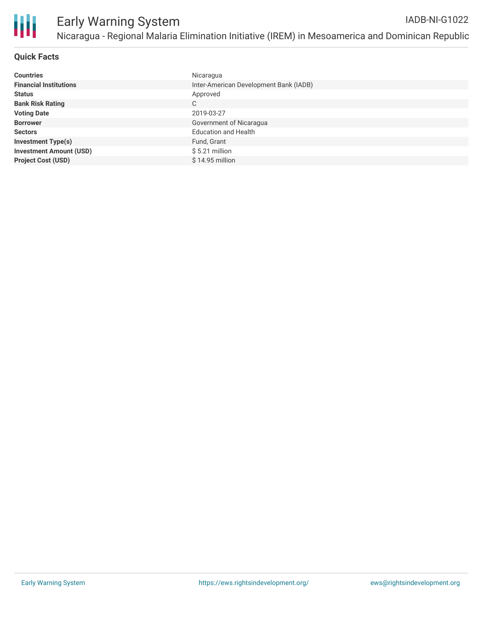

## **Quick Facts**

| <b>Countries</b>               | Nicaragua                              |
|--------------------------------|----------------------------------------|
| <b>Financial Institutions</b>  | Inter-American Development Bank (IADB) |
| <b>Status</b>                  | Approved                               |
| <b>Bank Risk Rating</b>        | C                                      |
| <b>Voting Date</b>             | 2019-03-27                             |
| <b>Borrower</b>                | Government of Nicaragua                |
| <b>Sectors</b>                 | <b>Education and Health</b>            |
| <b>Investment Type(s)</b>      | Fund, Grant                            |
| <b>Investment Amount (USD)</b> | $$5.21$ million                        |
| <b>Project Cost (USD)</b>      | $$14.95$ million                       |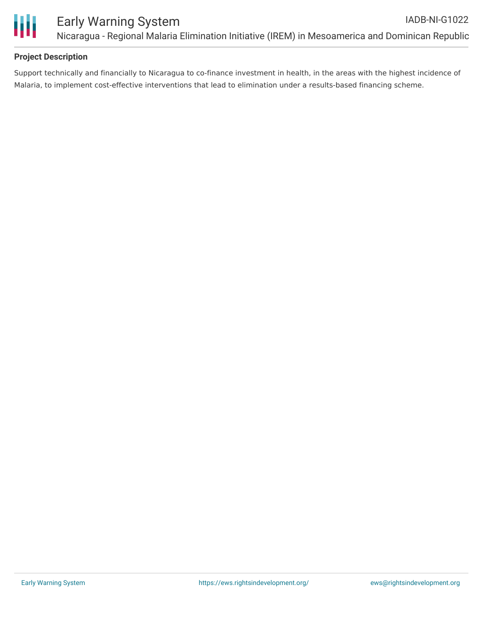

# **Project Description**

Support technically and financially to Nicaragua to co-finance investment in health, in the areas with the highest incidence of Malaria, to implement cost-effective interventions that lead to elimination under a results-based financing scheme.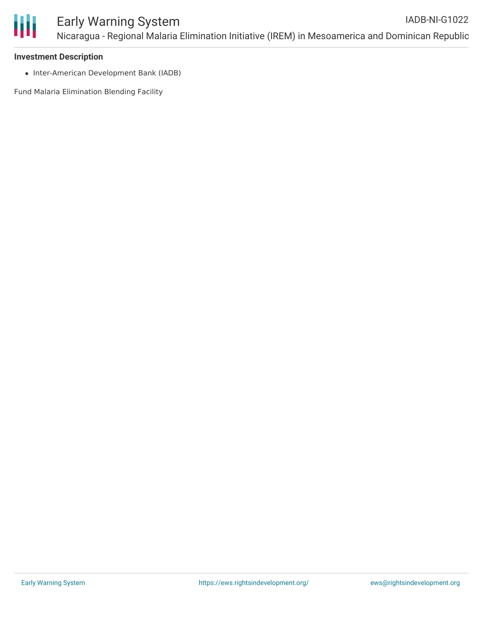

#### **Investment Description**

• Inter-American Development Bank (IADB)

Fund Malaria Elimination Blending Facility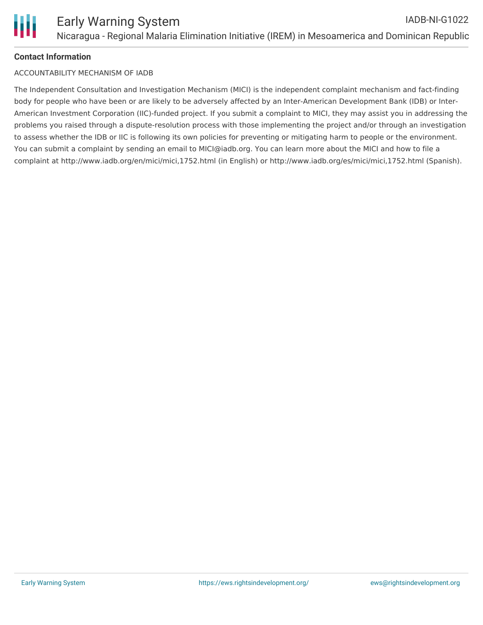# **Contact Information**

### ACCOUNTABILITY MECHANISM OF IADB

The Independent Consultation and Investigation Mechanism (MICI) is the independent complaint mechanism and fact-finding body for people who have been or are likely to be adversely affected by an Inter-American Development Bank (IDB) or Inter-American Investment Corporation (IIC)-funded project. If you submit a complaint to MICI, they may assist you in addressing the problems you raised through a dispute-resolution process with those implementing the project and/or through an investigation to assess whether the IDB or IIC is following its own policies for preventing or mitigating harm to people or the environment. You can submit a complaint by sending an email to MICI@iadb.org. You can learn more about the MICI and how to file a complaint at http://www.iadb.org/en/mici/mici,1752.html (in English) or http://www.iadb.org/es/mici/mici,1752.html (Spanish).